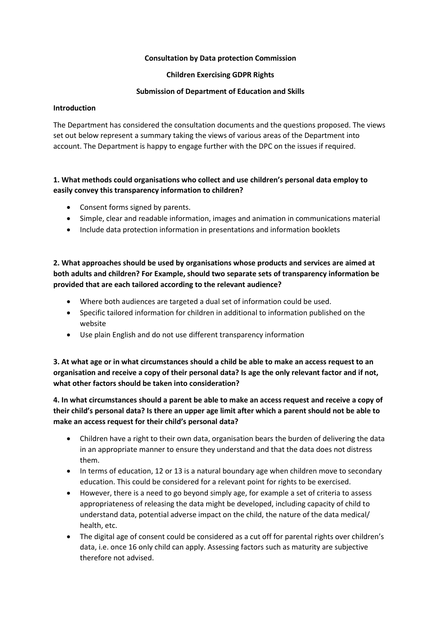#### **Consultation by Data protection Commission**

#### **Children Exercising GDPR Rights**

#### **Submission of Department of Education and Skills**

#### **Introduction**

The Department has considered the consultation documents and the questions proposed. The views set out below represent a summary taking the views of various areas of the Department into account. The Department is happy to engage further with the DPC on the issues if required.

### **1. What methods could organisations who collect and use children's personal data employ to easily convey this transparency information to children?**

- Consent forms signed by parents.
- Simple, clear and readable information, images and animation in communications material
- Include data protection information in presentations and information booklets

## **2. What approaches should be used by organisations whose products and services are aimed at both adults and children? For Example, should two separate sets of transparency information be provided that are each tailored according to the relevant audience?**

- Where both audiences are targeted a dual set of information could be used.
- Specific tailored information for children in additional to information published on the website
- Use plain English and do not use different transparency information

**3. At what age or in what circumstances should a child be able to make an access request to an organisation and receive a copy of their personal data? Is age the only relevant factor and if not, what other factors should be taken into consideration?**

**4. In what circumstances should a parent be able to make an access request and receive a copy of their child's personal data? Is there an upper age limit after which a parent should not be able to make an access request for their child's personal data?**

- Children have a right to their own data, organisation bears the burden of delivering the data in an appropriate manner to ensure they understand and that the data does not distress them.
- In terms of education, 12 or 13 is a natural boundary age when children move to secondary education. This could be considered for a relevant point for rights to be exercised.
- However, there is a need to go beyond simply age, for example a set of criteria to assess appropriateness of releasing the data might be developed, including capacity of child to understand data, potential adverse impact on the child, the nature of the data medical/ health, etc.
- The digital age of consent could be considered as a cut off for parental rights over children's data, i.e. once 16 only child can apply. Assessing factors such as maturity are subjective therefore not advised.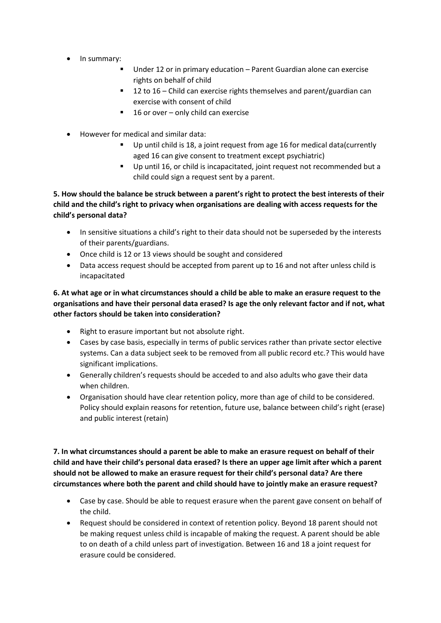- In summary:
	- Under 12 or in primary education Parent Guardian alone can exercise rights on behalf of child
	- 12 to 16 Child can exercise rights themselves and parent/guardian can exercise with consent of child
	- 16 or over only child can exercise
- However for medical and similar data:
	- Up until child is 18, a joint request from age 16 for medical data(currently aged 16 can give consent to treatment except psychiatric)
	- Up until 16, or child is incapacitated, joint request not recommended but a child could sign a request sent by a parent.

**5. How should the balance be struck between a parent's right to protect the best interests of their child and the child's right to privacy when organisations are dealing with access requests for the child's personal data?**

- In sensitive situations a child's right to their data should not be superseded by the interests of their parents/guardians.
- Once child is 12 or 13 views should be sought and considered
- Data access request should be accepted from parent up to 16 and not after unless child is incapacitated

**6. At what age or in what circumstances should a child be able to make an erasure request to the organisations and have their personal data erased? Is age the only relevant factor and if not, what other factors should be taken into consideration?**

- Right to erasure important but not absolute right.
- Cases by case basis, especially in terms of public services rather than private sector elective systems. Can a data subject seek to be removed from all public record etc.? This would have significant implications.
- Generally children's requests should be acceded to and also adults who gave their data when children.
- Organisation should have clear retention policy, more than age of child to be considered. Policy should explain reasons for retention, future use, balance between child's right (erase) and public interest (retain)

**7. In what circumstances should a parent be able to make an erasure request on behalf of their child and have their child's personal data erased? Is there an upper age limit after which a parent should not be allowed to make an erasure request for their child's personal data? Are there circumstances where both the parent and child should have to jointly make an erasure request?**

- Case by case. Should be able to request erasure when the parent gave consent on behalf of the child.
- Request should be considered in context of retention policy. Beyond 18 parent should not be making request unless child is incapable of making the request. A parent should be able to on death of a child unless part of investigation. Between 16 and 18 a joint request for erasure could be considered.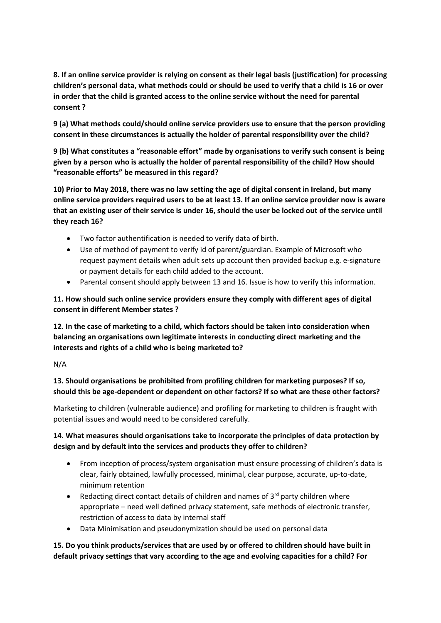**8. If an online service provider is relying on consent as their legal basis (justification) for processing children's personal data, what methods could or should be used to verify that a child is 16 or over in order that the child is granted access to the online service without the need for parental consent ?**

**9 (a) What methods could/should online service providers use to ensure that the person providing consent in these circumstances is actually the holder of parental responsibility over the child?**

**9 (b) What constitutes a "reasonable effort" made by organisations to verify such consent is being given by a person who is actually the holder of parental responsibility of the child? How should "reasonable efforts" be measured in this regard?**

**10) Prior to May 2018, there was no law setting the age of digital consent in Ireland, but many online service providers required users to be at least 13. If an online service provider now is aware that an existing user of their service is under 16, should the user be locked out of the service until they reach 16?**

- Two factor authentification is needed to verify data of birth.
- Use of method of payment to verify id of parent/guardian. Example of Microsoft who request payment details when adult sets up account then provided backup e.g. e-signature or payment details for each child added to the account.
- Parental consent should apply between 13 and 16. Issue is how to verify this information.

### **11. How should such online service providers ensure they comply with different ages of digital consent in different Member states ?**

**12. In the case of marketing to a child, which factors should be taken into consideration when balancing an organisations own legitimate interests in conducting direct marketing and the interests and rights of a child who is being marketed to?**

N/A

### **13. Should organisations be prohibited from profiling children for marketing purposes? If so, should this be age-dependent or dependent on other factors? If so what are these other factors?**

Marketing to children (vulnerable audience) and profiling for marketing to children is fraught with potential issues and would need to be considered carefully.

### **14. What measures should organisations take to incorporate the principles of data protection by design and by default into the services and products they offer to children?**

- From inception of process/system organisation must ensure processing of children's data is clear, fairly obtained, lawfully processed, minimal, clear purpose, accurate, up-to-date, minimum retention
- Redacting direct contact details of children and names of  $3<sup>rd</sup>$  party children where appropriate – need well defined privacy statement, safe methods of electronic transfer, restriction of access to data by internal staff
- Data Minimisation and pseudonymization should be used on personal data

### **15. Do you think products/services that are used by or offered to children should have built in default privacy settings that vary according to the age and evolving capacities for a child? For**